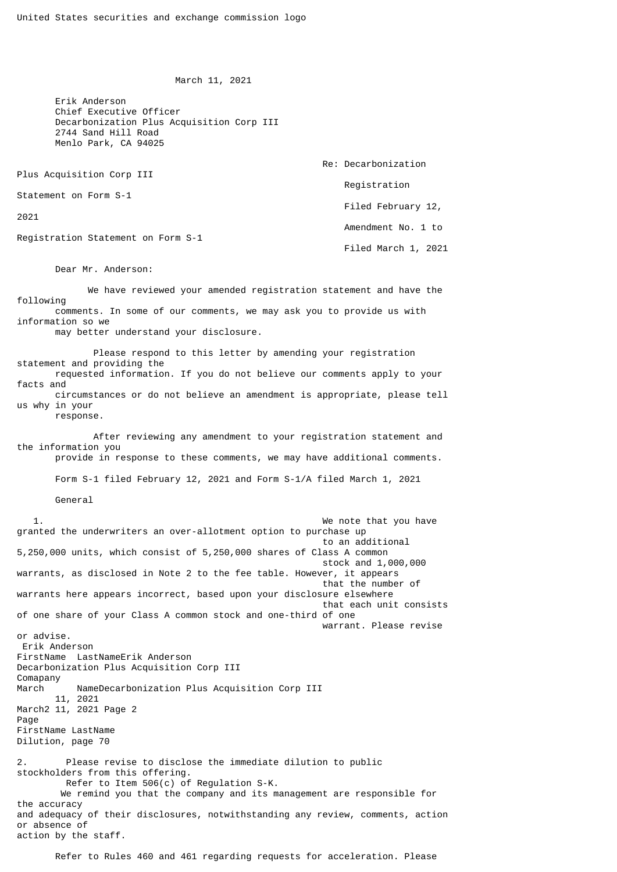March 11, 2021

 Erik Anderson Chief Executive Officer Decarbonization Plus Acquisition Corp III 2744 Sand Hill Road Menlo Park, CA 94025

| Plus Acquisition Corp III          | Re: Decarbonization |
|------------------------------------|---------------------|
|                                    | Registration        |
| Statement on Form S-1              |                     |
| 2021                               | Filed February 12,  |
| Registration Statement on Form S-1 | Amendment No. 1 to  |
|                                    | Filed March 1, 2021 |

Dear Mr. Anderson:

 We have reviewed your amended registration statement and have the following comments. In some of our comments, we may ask you to provide us with information so we

may better understand your disclosure.

 Please respond to this letter by amending your registration statement and providing the requested information. If you do not believe our comments apply to your facts and circumstances or do not believe an amendment is appropriate, please tell us why in your

response.

 After reviewing any amendment to your registration statement and the information you provide in response to these comments, we may have additional comments.

Form S-1 filed February 12, 2021 and Form S-1/A filed March 1, 2021

General

1. The same state of the state of the state of the state of the state of the state of the state of the state of the state of the state of the state of the state of the state of the state of the state of the state of the st granted the underwriters an over-allotment option to purchase up to an additional 5,250,000 units, which consist of 5,250,000 shares of Class A common stock and 1,000,000 warrants, as disclosed in Note 2 to the fee table. However, it appears that the number of warrants here appears incorrect, based upon your disclosure elsewhere that each unit consists of one share of your Class A common stock and one-third of one warrant. Please revise or advise. Erik Anderson FirstName LastNameErik Anderson Decarbonization Plus Acquisition Corp III Comapany March NameDecarbonization Plus Acquisition Corp III 11, 2021 March2 11, 2021 Page 2 Page FirstName LastName Dilution, page 70 2. Please revise to disclose the immediate dilution to public stockholders from this offering. Refer to Item 506(c) of Regulation S-K. We remind you that the company and its management are responsible for the accuracy and adequacy of their disclosures, notwithstanding any review, comments, action or absence of action by the staff.

Refer to Rules 460 and 461 regarding requests for acceleration. Please